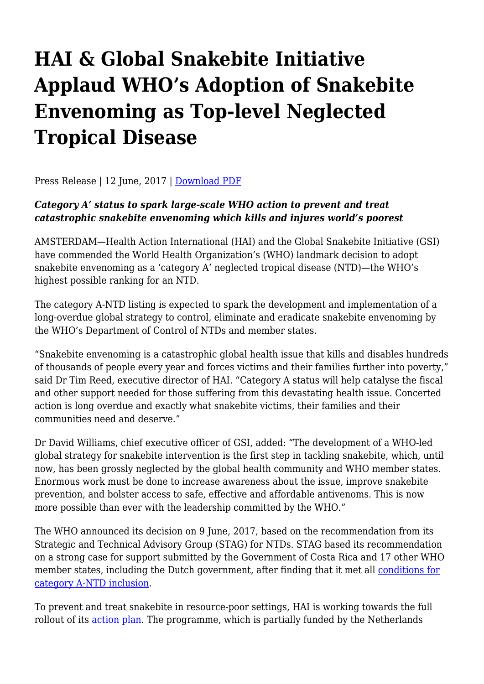# **HAI & Global Snakebite Initiative Applaud WHO's Adoption of Snakebite Envenoming as Top-level Neglected Tropical Disease**

Press Release | 12 June, 2017 | [Download PDF](http://haiweb.org/wp-content/uploads/2017/06/HAI-and-GSI-Applaud-WHO-Adoption-of-Snakebite-as-NTD.pdf)

#### *Category A' status to spark large-scale WHO action to prevent and treat catastrophic snakebite envenoming which kills and injures world's poorest*

AMSTERDAM—Health Action International (HAI) and the Global Snakebite Initiative (GSI) have commended the World Health Organization's (WHO) landmark decision to adopt snakebite envenoming as a 'category A' neglected tropical disease (NTD)—the WHO's highest possible ranking for an NTD.

The category A-NTD listing is expected to spark the development and implementation of a long-overdue global strategy to control, eliminate and eradicate snakebite envenoming by the WHO's Department of Control of NTDs and member states.

"Snakebite envenoming is a catastrophic global health issue that kills and disables hundreds of thousands of people every year and forces victims and their families further into poverty," said Dr Tim Reed, executive director of HAI. "Category A status will help catalyse the fiscal and other support needed for those suffering from this devastating health issue. Concerted action is long overdue and exactly what snakebite victims, their families and their communities need and deserve."

Dr David Williams, chief executive officer of GSI, added: "The development of a WHO-led global strategy for snakebite intervention is the first step in tackling snakebite, which, until now, has been grossly neglected by the global health community and WHO member states. Enormous work must be done to increase awareness about the issue, improve snakebite prevention, and bolster access to safe, effective and affordable antivenoms. This is now more possible than ever with the leadership committed by the WHO."

The WHO announced its decision on 9 June, 2017, based on the recommendation from its Strategic and Technical Advisory Group (STAG) for NTDs. STAG based its recommendation on a strong case for support submitted by the Government of Costa Rica and 17 other WHO member states, including the Dutch government, after finding that it met all [conditions for](http://www.who.int/neglected_diseases/diseases/Adoption_additional_NTDs.pdf) [category A-NTD inclusion](http://www.who.int/neglected_diseases/diseases/Adoption_additional_NTDs.pdf).

To prevent and treat snakebite in resource-poor settings, HAI is working towards the full rollout of its [action plan.](http://haiweb.org/wp-content/uploads/2017/02/Snakebite-Action-Plan.pdf) The programme, which is partially funded by the Netherlands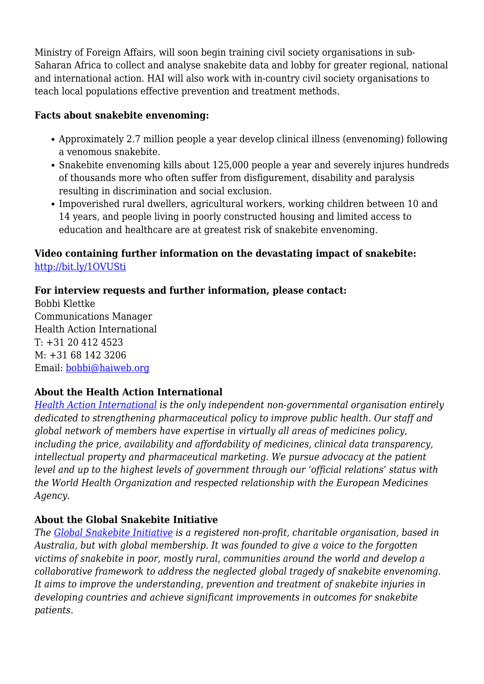Ministry of Foreign Affairs, will soon begin training civil society organisations in sub-Saharan Africa to collect and analyse snakebite data and lobby for greater regional, national and international action. HAI will also work with in-country civil society organisations to teach local populations effective prevention and treatment methods.

### **Facts about snakebite envenoming:**

- Approximately 2.7 million people a year develop clinical illness (envenoming) following a venomous snakebite.
- Snakebite envenoming kills about 125,000 people a year and severely injures hundreds of thousands more who often suffer from disfigurement, disability and paralysis resulting in discrimination and social exclusion.
- Impoverished rural dwellers, agricultural workers, working children between 10 and 14 years, and people living in poorly constructed housing and limited access to education and healthcare are at greatest risk of snakebite envenoming.

### **Video containing further information on the devastating impact of snakebite:** <http://bit.ly/1OVUSti>

## **For interview requests and further information, please contact:**

Bobbi Klettke Communications Manager Health Action International T: +31 20 412 4523 M: +31 68 142 3206 Email: [bobbi@haiweb.org](mailto:bobbi@haiweb.org)

## **About the Health Action International**

*[Health Action International](http://www.haiweb.org) is the only independent non-governmental organisation entirely dedicated to strengthening pharmaceutical policy to improve public health. Our staff and global network of members have expertise in virtually all areas of medicines policy, including the price, availability and affordability of medicines, clinical data transparency, intellectual property and pharmaceutical marketing. We pursue advocacy at the patient level and up to the highest levels of government through our 'official relations' status with the World Health Organization and respected relationship with the European Medicines Agency.*

## **About the Global Snakebite Initiative**

*The [Global Snakebite Initiative](http://www.snakebiteinitiative.org) is a registered non-profit, charitable organisation, based in Australia, but with global membership. It was founded to give a voice to the forgotten victims of snakebite in poor, mostly rural, communities around the world and develop a collaborative framework to address the neglected global tragedy of snakebite envenoming. It aims to improve the understanding, prevention and treatment of snakebite injuries in developing countries and achieve significant improvements in outcomes for snakebite patients.*